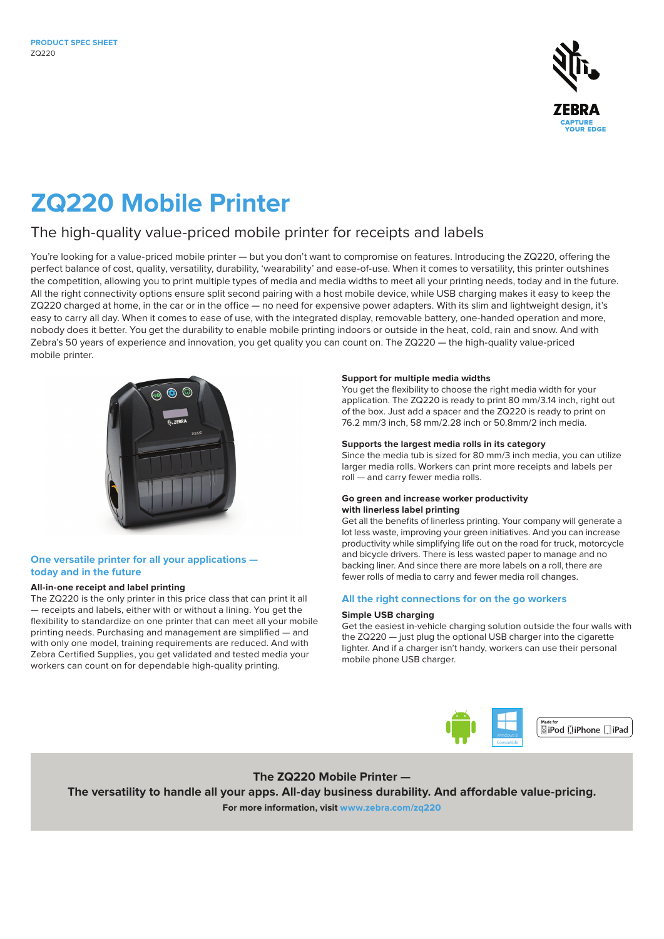

# **ZQ220 Mobile Printer**

## The high-quality value-priced mobile printer for receipts and labels

You're looking for a value-priced mobile printer — but you don't want to compromise on features. Introducing the ZQ220, offering the perfect balance of cost, quality, versatility, durability, 'wearability' and ease-of-use. When it comes to versatility, this printer outshines the competition, allowing you to print multiple types of media and media widths to meet all your printing needs, today and in the future. All the right connectivity options ensure split second pairing with a host mobile device, while USB charging makes it easy to keep the ZQ220 charged at home, in the car or in the office — no need for expensive power adapters. With its slim and lightweight design, it's easy to carry all day. When it comes to ease of use, with the integrated display, removable battery, one-handed operation and more, nobody does it better. You get the durability to enable mobile printing indoors or outside in the heat, cold, rain and snow. And with Zebra's 50 years of experience and innovation, you get quality you can count on. The ZQ220 — the high-quality value-priced mobile printer.



## **One versatile printer for all your applications today and in the future**

## **All-in-one receipt and label printing**

The ZQ220 is the only printer in this price class that can print it all — receipts and labels, either with or without a lining. You get the flexibility to standardize on one printer that can meet all your mobile printing needs. Purchasing and management are simplified — and with only one model, training requirements are reduced. And with Zebra Certified Supplies, you get validated and tested media your workers can count on for dependable high-quality printing.

#### **Support for multiple media widths**

You get the flexibility to choose the right media width for your application. The ZQ220 is ready to print 80 mm/3.14 inch, right out of the box. Just add a spacer and the ZQ220 is ready to print on 76.2 mm/3 inch, 58 mm/2.28 inch or 50.8mm/2 inch media.

#### **Supports the largest media rolls in its category**

Since the media tub is sized for 80 mm/3 inch media, you can utilize larger media rolls. Workers can print more receipts and labels per roll — and carry fewer media rolls.

## **Go green and increase worker productivity with linerless label printing**

Get all the benefits of linerless printing. Your company will generate a lot less waste, improving your green initiatives. And you can increase productivity while simplifying life out on the road for truck, motorcycle and bicycle drivers. There is less wasted paper to manage and no backing liner. And since there are more labels on a roll, there are fewer rolls of media to carry and fewer media roll changes.

## **All the right connections for on the go workers**

#### **Simple USB charging**

Get the easiest in-vehicle charging solution outside the four walls with the ZQ220 — just plug the optional USB charger into the cigarette lighter. And if a charger isn't handy, workers can use their personal mobile phone USB charger.



<sup>™</sup> ।<br>⊌iPod □iPhone ∏iPad

**The ZQ220 Mobile Printer —**

**The versatility to handle all your apps. All-day business durability. And affordable value-pricing.** 

**For more information, visit [www.zebra.com](http://www.zebra.com/zq220)/zq220**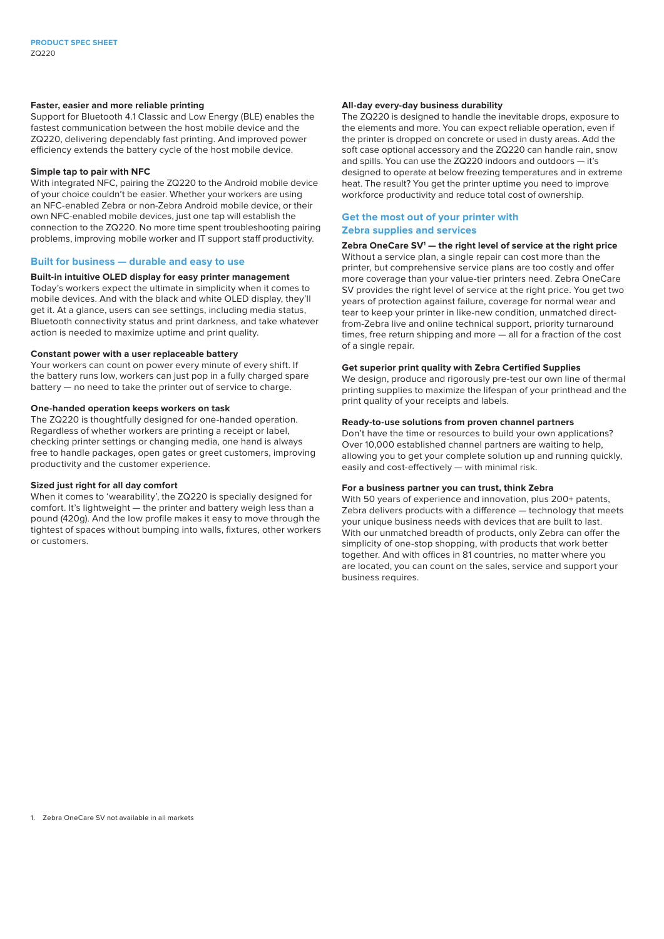#### **Faster, easier and more reliable printing**

Support for Bluetooth 4.1 Classic and Low Energy (BLE) enables the fastest communication between the host mobile device and the ZQ220, delivering dependably fast printing. And improved power efficiency extends the battery cycle of the host mobile device.

#### **Simple tap to pair with NFC**

With integrated NFC, pairing the ZQ220 to the Android mobile device of your choice couldn't be easier. Whether your workers are using an NFC-enabled Zebra or non-Zebra Android mobile device, or their own NFC-enabled mobile devices, just one tap will establish the connection to the ZQ220. No more time spent troubleshooting pairing problems, improving mobile worker and IT support staff productivity.

#### **Built for business — durable and easy to use**

## **Built-in intuitive OLED display for easy printer management**

Today's workers expect the ultimate in simplicity when it comes to mobile devices. And with the black and white OLED display, they'll get it. At a glance, users can see settings, including media status, Bluetooth connectivity status and print darkness, and take whatever action is needed to maximize uptime and print quality.

#### **Constant power with a user replaceable battery**

Your workers can count on power every minute of every shift. If the battery runs low, workers can just pop in a fully charged spare battery — no need to take the printer out of service to charge.

#### **One-handed operation keeps workers on task**

The ZQ220 is thoughtfully designed for one-handed operation. Regardless of whether workers are printing a receipt or label, checking printer settings or changing media, one hand is always free to handle packages, open gates or greet customers, improving productivity and the customer experience.

#### **Sized just right for all day comfort**

When it comes to 'wearability', the ZQ220 is specially designed for comfort. It's lightweight — the printer and battery weigh less than a pound (420g). And the low profile makes it easy to move through the tightest of spaces without bumping into walls, fixtures, other workers or customers.

#### **All-day every-day business durability**

The ZQ220 is designed to handle the inevitable drops, exposure to the elements and more. You can expect reliable operation, even if the printer is dropped on concrete or used in dusty areas. Add the soft case optional accessory and the ZQ220 can handle rain, snow and spills. You can use the ZQ220 indoors and outdoors — it's designed to operate at below freezing temperatures and in extreme heat. The result? You get the printer uptime you need to improve workforce productivity and reduce total cost of ownership.

#### **Get the most out of your printer with Zebra supplies and services**

#### **Zebra OneCare SV1 — the right level of service at the right price**

Without a service plan, a single repair can cost more than the printer, but comprehensive service plans are too costly and offer more coverage than your value-tier printers need. Zebra OneCare SV provides the right level of service at the right price. You get two years of protection against failure, coverage for normal wear and tear to keep your printer in like-new condition, unmatched directfrom-Zebra live and online technical support, priority turnaround times, free return shipping and more — all for a fraction of the cost of a single repair.

#### **Get superior print quality with Zebra Certified Supplies**

We design, produce and rigorously pre-test our own line of thermal printing supplies to maximize the lifespan of your printhead and the print quality of your receipts and labels.

#### **Ready-to-use solutions from proven channel partners**

Don't have the time or resources to build your own applications? Over 10,000 established channel partners are waiting to help, allowing you to get your complete solution up and running quickly, easily and cost-effectively — with minimal risk.

#### **For a business partner you can trust, think Zebra**

With 50 years of experience and innovation, plus 200+ patents, Zebra delivers products with a difference — technology that meets your unique business needs with devices that are built to last. With our unmatched breadth of products, only Zebra can offer the simplicity of one-stop shopping, with products that work better together. And with offices in 81 countries, no matter where you are located, you can count on the sales, service and support your business requires.

1. Zebra OneCare SV not available in all markets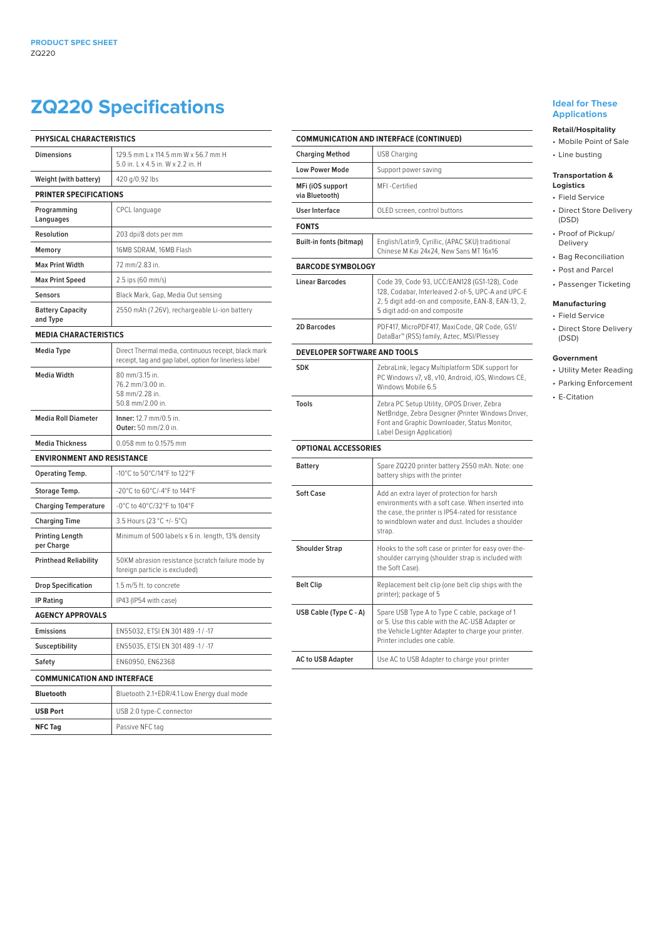## **ZQ220 Specifications**

| <b>PHYSICAL CHARACTERISTICS</b>      |                                                                                                                |  |
|--------------------------------------|----------------------------------------------------------------------------------------------------------------|--|
| <b>Dimensions</b>                    | 129.5 mm L x 114.5 mm W x 56.7 mm H<br>5.0 in, L x 4.5 in, W x 2.2 in, H                                       |  |
| Weight (with battery)                | 420 g/0.92 lbs                                                                                                 |  |
| <b>PRINTER SPECIFICATIONS</b>        |                                                                                                                |  |
| Programming<br>Languages             | CPCL language                                                                                                  |  |
| Resolution                           | 203 dpi/8 dots per mm                                                                                          |  |
| Memory                               | 16MB SDRAM, 16MB Flash                                                                                         |  |
| <b>Max Print Width</b>               | 72 mm/2.83 in.                                                                                                 |  |
| <b>Max Print Speed</b>               | 2.5 ips (60 mm/s)                                                                                              |  |
| <b>Sensors</b>                       | Black Mark, Gap, Media Out sensing                                                                             |  |
| <b>Battery Capacity</b><br>and Type  | 2550 mAh (7.26V), rechargeable Li-ion battery                                                                  |  |
| <b>MEDIA CHARACTERISTICS</b>         |                                                                                                                |  |
| <b>Media Type</b>                    | Direct Thermal media, continuous receipt, black mark<br>receipt, tag and gap label, option for linerless label |  |
| <b>Media Width</b>                   | 80 mm/3.15 in.<br>76.2 mm/3.00 in.<br>58 mm/2.28 in.<br>50.8 mm/2.00 in.                                       |  |
| <b>Media Roll Diameter</b>           | Inner: 12.7 mm/0.5 in.<br>Outer: 50 mm/2.0 in.                                                                 |  |
| <b>Media Thickness</b>               | 0.058 mm to 0.1575 mm                                                                                          |  |
| <b>ENVIRONMENT AND RESISTANCE</b>    |                                                                                                                |  |
| Operating Temp.                      | -10°C to 50°C/14°F to 122°F                                                                                    |  |
| Storage Temp.                        | -20°C to 60°C/-4°F to 144°F                                                                                    |  |
| <b>Charging Temperature</b>          | -0°C to 40°C/32°F to 104°F                                                                                     |  |
| <b>Charging Time</b>                 | 3.5 Hours (23 °C +/- 5°C)                                                                                      |  |
| <b>Printing Length</b><br>per Charge | Minimum of 500 labels x 6 in. length, 13% density                                                              |  |
| <b>Printhead Reliability</b>         | 50KM abrasion resistance (scratch failure mode by<br>foreign particle is excluded)                             |  |
| <b>Drop Specification</b>            | 1.5 m/5 ft. to concrete                                                                                        |  |
| <b>IP Rating</b>                     | IP43 (IP54 with case)                                                                                          |  |
| <b>AGENCY APPROVALS</b>              |                                                                                                                |  |
| Emissions                            | EN55032, ETSI EN 301 489 -1 / -17                                                                              |  |
| Susceptibility                       | EN55035, ETSI EN 301 489 -1 / -17                                                                              |  |
| Safety                               | EN60950, EN62368                                                                                               |  |
| <b>COMMUNICATION AND INTERFACE</b>   |                                                                                                                |  |
| <b>Bluetooth</b>                     | Bluetooth 2.1+EDR/4.1 Low Energy dual mode                                                                     |  |
| <b>USB Port</b>                      | USB 2.0 type-C connector                                                                                       |  |
| <b>NFC Tag</b>                       | Passive NFC tag                                                                                                |  |

## **COMMUNICATION AND INTERFACE (CONTINUED) Charging Method** USB Charging Low Power Mode | Support power saving **MFi (iOS support via Bluetooth)** MFI -Certified **User Interface DED** screen, control buttons **FONTS Built-in fonts (bitmap)** English/Latin9, Cyrillic, (APAC SKU) traditional Chinese M Kai 24x24, New Sans MT 16x16 **BARCODE SYMBOLOGY** Linear Barcodes Code 39, Code 93, UCC/EAN128 (GS1-128), Code 128, Codabar, Interleaved 2-of-5, UPC-A and UPC-E 2, 5 digit add-on and composite, EAN-8, EAN-13, 2, 5 digit add-on and composite **2D Barcodes** PDF417, MicroPDF417, MaxiCode, QR Code, GS1/ DataBar™ (RSS) family, Aztec, MSI/Plessey **DEVELOPER SOFTWARE AND TOOLS SDK** ZebraLink, legacy Multiplatform SDK support for PC Windows v7, v8, v10, Android, iOS, Windows CE, Windows Mobile 6.5 **Tools** Zebra PC Setup Utility, OPOS Driver, Zebra NetBridge, Zebra Designer (Printer Windows Driver, Font and Graphic Downloader, Status Monitor, Label Design Application) **OPTIONAL ACCESSORIES Battery** Spare ZQ220 printer battery 2550 mAh. Note: one battery ships with the printer **Soft Case** Add an extra layer of protection for harsh environments with a soft case. When inserted into the case, the printer is IP54-rated for resistance to windblown water and dust. Includes a shoulder strap. **Shoulder Strap** Hooks to the soft case or printer for easy over-theshoulder carrying (shoulder strap is included with the Soft Case). **Belt Clip** Replacement belt clip (one belt clip ships with the printer); package of 5 **USB Cable (Type C - A)** Spare USB Type A to Type C cable, package of 1 or 5. Use this cable with the AC-USB Adapter or the Vehicle Lighter Adapter to charge your printer. Printer includes one cable. **AC to USB Adapter** Use AC to USB Adapter to charge your printer

#### **Ideal for These Applications**

## **Retail/Hospitality**

• Mobile Point of Sale • Line busting

#### **Transportation & Logistics**

- Field Service
- Direct Store Delivery (DSD)
- Proof of Pickup/ Delivery
- Bag Reconciliation
- Post and Parcel
- Passenger Ticketing

## **Manufacturing**

- Field Service
- Direct Store Delivery (DSD)

#### **Government**

- Utility Meter Reading
- Parking Enforcement
- E-Citation